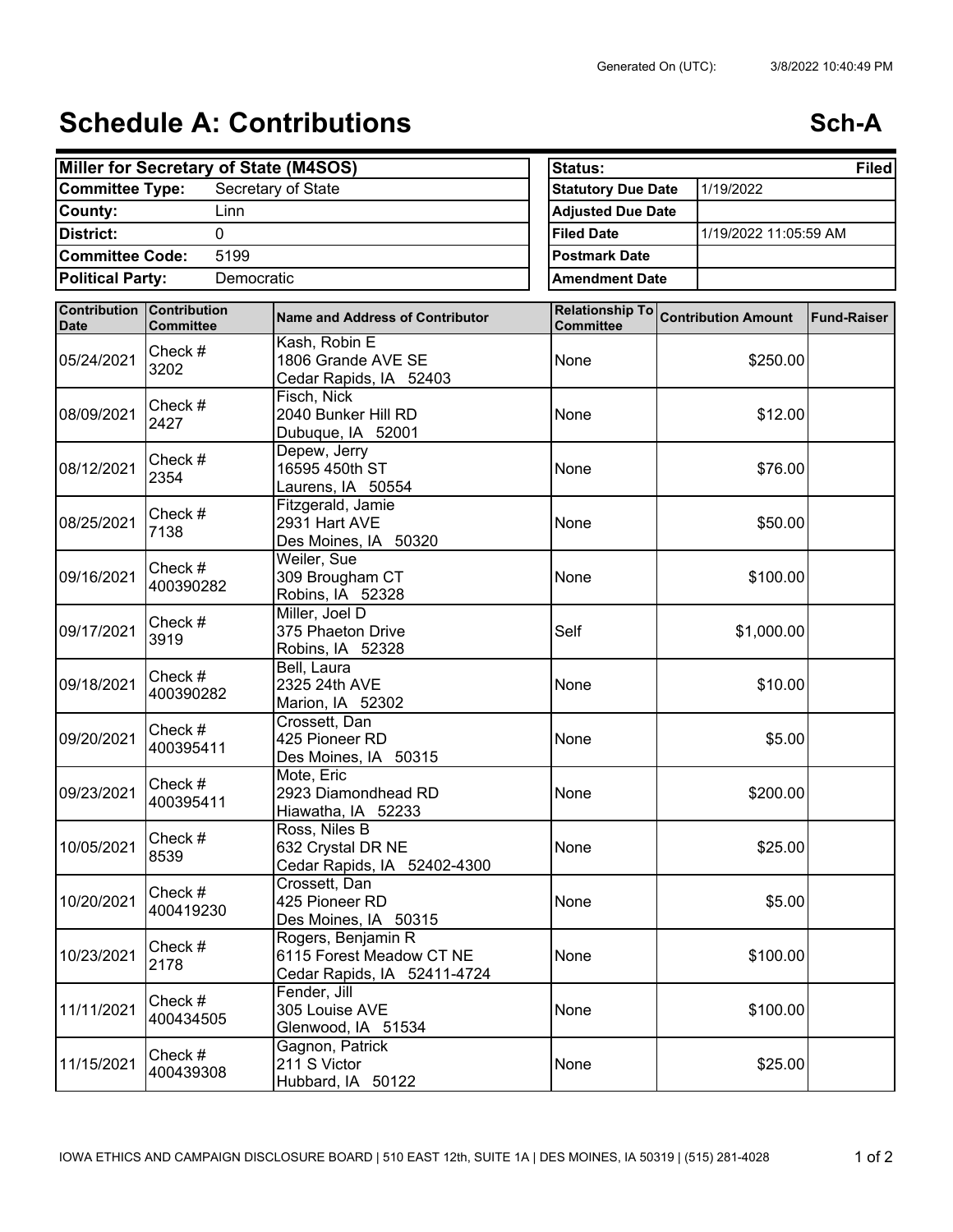## **Schedule A: Contributions <b>Schedule A:** Contributions

|                         | Miller for Secretary of State (M4SOS) |                                                                               | <b>Status:</b><br><b>Filed</b> |           |                                     |                    |
|-------------------------|---------------------------------------|-------------------------------------------------------------------------------|--------------------------------|-----------|-------------------------------------|--------------------|
| <b>Committee Type:</b>  |                                       | <b>Statutory Due Date</b>                                                     |                                | 1/19/2022 |                                     |                    |
| County:                 | Linn                                  |                                                                               | <b>Adjusted Due Date</b>       |           |                                     |                    |
| District:               | <b>Filed Date</b>                     | 1/19/2022 11:05:59 AM                                                         |                                |           |                                     |                    |
| <b>Committee Code:</b>  | 5199                                  |                                                                               | <b>Postmark Date</b>           |           |                                     |                    |
| <b>Political Party:</b> | Democratic                            |                                                                               | <b>Amendment Date</b>          |           |                                     |                    |
|                         | <b>Contribution Contribution</b>      |                                                                               |                                |           |                                     |                    |
| <b>Date</b>             | <b>Committee</b>                      | <b>Name and Address of Contributor</b>                                        | <b>Committee</b>               |           | Relationship To Contribution Amount | <b>Fund-Raiser</b> |
| 05/24/2021              | Check #<br>3202                       | Kash, Robin E<br>1806 Grande AVE SE<br>Cedar Rapids, IA 52403                 | None                           |           | \$250.00                            |                    |
| 08/09/2021              | Check #<br>2427                       | Fisch, Nick<br>2040 Bunker Hill RD<br>Dubuque, IA 52001                       | None                           |           | \$12.00                             |                    |
| 08/12/2021              | Check #<br>2354                       | Depew, Jerry<br>16595 450th ST<br>Laurens, IA 50554                           | None                           |           | \$76.00                             |                    |
| 08/25/2021              | Check #<br>7138                       | Fitzgerald, Jamie<br>2931 Hart AVE<br>Des Moines, IA 50320                    | None                           |           | \$50.00                             |                    |
| 09/16/2021              | Check #<br>400390282                  | Weiler, Sue<br>309 Brougham CT<br>Robins, IA 52328                            | None                           |           | \$100.00                            |                    |
| 09/17/2021              | Check #<br>3919                       | Miller, Joel D<br>375 Phaeton Drive<br>Robins, IA 52328                       | Self                           |           | \$1,000.00                          |                    |
| 09/18/2021              | Check #<br>400390282                  | Bell, Laura<br>2325 24th AVE<br>Marion, IA 52302                              | None                           |           | \$10.00                             |                    |
| 09/20/2021              | Check #<br>400395411                  | Crossett, Dan<br>425 Pioneer RD<br>Des Moines, IA 50315                       | None                           |           | \$5.00                              |                    |
| 09/23/2021              | Check #<br>400395411                  | Mote, Eric<br>2923 Diamondhead RD<br>Hiawatha, IA 52233                       | None                           |           | \$200.00                            |                    |
| 10/05/2021              | Check #<br>8539                       | Ross, Niles B<br>632 Crystal DR NE<br>Cedar Rapids, IA 52402-4300             | None                           |           | \$25.00                             |                    |
| 10/20/2021              | Check #<br>400419230                  | Crossett, Dan<br>425 Pioneer RD<br>Des Moines, IA 50315                       | None                           |           | \$5.00                              |                    |
| 10/23/2021              | Check #<br>2178                       | Rogers, Benjamin R<br>6115 Forest Meadow CT NE<br>Cedar Rapids, IA 52411-4724 | None                           |           | \$100.00                            |                    |
| 11/11/2021              | Check #<br>400434505                  | Fender, Jill<br>305 Louise AVE<br>Glenwood, IA 51534                          | None                           |           | \$100.00                            |                    |
| 11/15/2021              | Check #<br>400439308                  | Gagnon, Patrick<br>211 S Victor<br>Hubbard, IA 50122                          | None                           |           | \$25.00                             |                    |